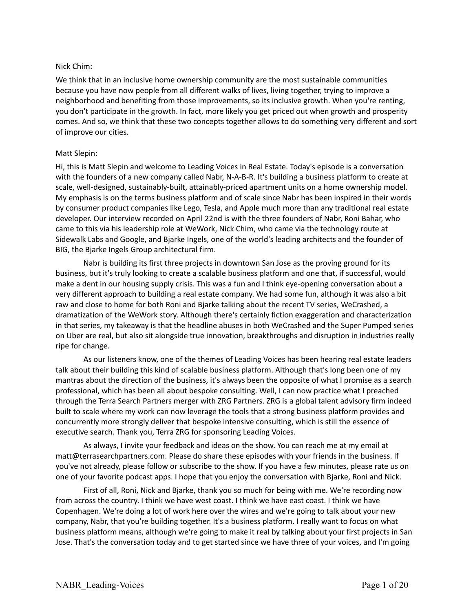### Nick Chim:

We think that in an inclusive home ownership community are the most sustainable communities because you have now people from all different walks of lives, living together, trying to improve a neighborhood and benefiting from those improvements, so its inclusive growth. When you're renting, you don't participate in the growth. In fact, more likely you get priced out when growth and prosperity comes. And so, we think that these two concepts together allows to do something very different and sort of improve our cities.

### Matt Slepin:

Hi, this is Matt Slepin and welcome to Leading Voices in Real Estate. Today's episode is a conversation with the founders of a new company called Nabr, N-A-B-R. It's building a business platform to create at scale, well-designed, sustainably-built, attainably-priced apartment units on a home ownership model. My emphasis is on the terms business platform and of scale since Nabr has been inspired in their words by consumer product companies like Lego, Tesla, and Apple much more than any traditional real estate developer. Our interview recorded on April 22nd is with the three founders of Nabr, Roni Bahar, who came to this via his leadership role at WeWork, Nick Chim, who came via the technology route at Sidewalk Labs and Google, and Bjarke Ingels, one of the world's leading architects and the founder of BIG, the Bjarke Ingels Group architectural firm.

Nabr is building its first three projects in downtown San Jose as the proving ground for its business, but it's truly looking to create a scalable business platform and one that, if successful, would make a dent in our housing supply crisis. This was a fun and I think eye-opening conversation about a very different approach to building a real estate company. We had some fun, although it was also a bit raw and close to home for both Roni and Bjarke talking about the recent TV series, WeCrashed, a dramatization of the WeWork story. Although there's certainly fiction exaggeration and characterization in that series, my takeaway is that the headline abuses in both WeCrashed and the Super Pumped series on Uber are real, but also sit alongside true innovation, breakthroughs and disruption in industries really ripe for change.

As our listeners know, one of the themes of Leading Voices has been hearing real estate leaders talk about their building this kind of scalable business platform. Although that's long been one of my mantras about the direction of the business, it's always been the opposite of what I promise as a search professional, which has been all about bespoke consulting. Well, I can now practice what I preached through the Terra Search Partners merger with ZRG Partners. ZRG is a global talent advisory firm indeed built to scale where my work can now leverage the tools that a strong business platform provides and concurrently more strongly deliver that bespoke intensive consulting, which is still the essence of executive search. Thank you, Terra ZRG for sponsoring Leading Voices.

As always, I invite your feedback and ideas on the show. You can reach me at my email at matt@terrasearchpartners.com. Please do share these episodes with your friends in the business. If you've not already, please follow or subscribe to the show. If you have a few minutes, please rate us on one of your favorite podcast apps. I hope that you enjoy the conversation with Bjarke, Roni and Nick.

First of all, Roni, Nick and Bjarke, thank you so much for being with me. We're recording now from across the country. I think we have west coast. I think we have east coast. I think we have Copenhagen. We're doing a lot of work here over the wires and we're going to talk about your new company, Nabr, that you're building together. It's a business platform. I really want to focus on what business platform means, although we're going to make it real by talking about your first projects in San Jose. That's the conversation today and to get started since we have three of your voices, and I'm going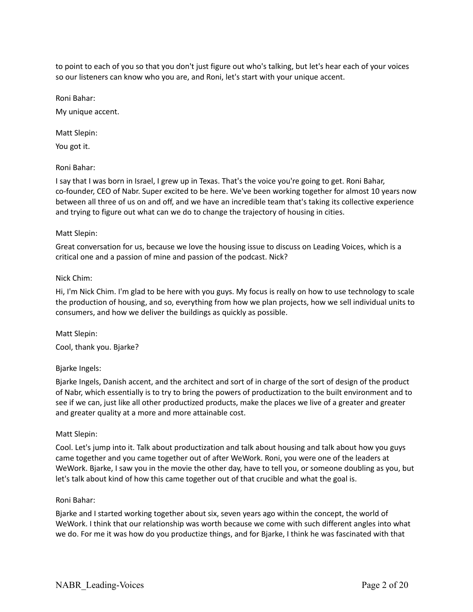to point to each of you so that you don't just figure out who's talking, but let's hear each of your voices so our listeners can know who you are, and Roni, let's start with your unique accent.

Roni Bahar:

My unique accent.

Matt Slepin:

You got it.

### Roni Bahar:

I say that I was born in Israel, I grew up in Texas. That's the voice you're going to get. Roni Bahar, co-founder, CEO of Nabr. Super excited to be here. We've been working together for almost 10 years now between all three of us on and off, and we have an incredible team that's taking its collective experience and trying to figure out what can we do to change the trajectory of housing in cities.

### Matt Slepin:

Great conversation for us, because we love the housing issue to discuss on Leading Voices, which is a critical one and a passion of mine and passion of the podcast. Nick?

### Nick Chim:

Hi, I'm Nick Chim. I'm glad to be here with you guys. My focus is really on how to use technology to scale the production of housing, and so, everything from how we plan projects, how we sell individual units to consumers, and how we deliver the buildings as quickly as possible.

Matt Slepin: Cool, thank you. Bjarke?

# Bjarke Ingels:

Bjarke Ingels, Danish accent, and the architect and sort of in charge of the sort of design of the product of Nabr, which essentially is to try to bring the powers of productization to the built environment and to see if we can, just like all other productized products, make the places we live of a greater and greater and greater quality at a more and more attainable cost.

#### Matt Slepin:

Cool. Let's jump into it. Talk about productization and talk about housing and talk about how you guys came together and you came together out of after WeWork. Roni, you were one of the leaders at WeWork. Bjarke, I saw you in the movie the other day, have to tell you, or someone doubling as you, but let's talk about kind of how this came together out of that crucible and what the goal is.

#### Roni Bahar:

Bjarke and I started working together about six, seven years ago within the concept, the world of WeWork. I think that our relationship was worth because we come with such different angles into what we do. For me it was how do you productize things, and for Bjarke, I think he was fascinated with that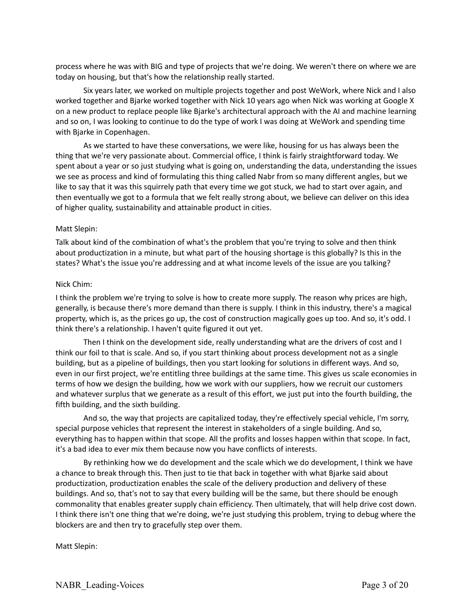process where he was with BIG and type of projects that we're doing. We weren't there on where we are today on housing, but that's how the relationship really started.

Six years later, we worked on multiple projects together and post WeWork, where Nick and I also worked together and Bjarke worked together with Nick 10 years ago when Nick was working at Google X on a new product to replace people like Bjarke's architectural approach with the AI and machine learning and so on, I was looking to continue to do the type of work I was doing at WeWork and spending time with Bjarke in Copenhagen.

As we started to have these conversations, we were like, housing for us has always been the thing that we're very passionate about. Commercial office, I think is fairly straightforward today. We spent about a year or so just studying what is going on, understanding the data, understanding the issues we see as process and kind of formulating this thing called Nabr from so many different angles, but we like to say that it was this squirrely path that every time we got stuck, we had to start over again, and then eventually we got to a formula that we felt really strong about, we believe can deliver on this idea of higher quality, sustainability and attainable product in cities.

### Matt Slepin:

Talk about kind of the combination of what's the problem that you're trying to solve and then think about productization in a minute, but what part of the housing shortage is this globally? Is this in the states? What's the issue you're addressing and at what income levels of the issue are you talking?

#### Nick Chim:

I think the problem we're trying to solve is how to create more supply. The reason why prices are high, generally, is because there's more demand than there is supply. I think in this industry, there's a magical property, which is, as the prices go up, the cost of construction magically goes up too. And so, it's odd. I think there's a relationship. I haven't quite figured it out yet.

Then I think on the development side, really understanding what are the drivers of cost and I think our foil to that is scale. And so, if you start thinking about process development not as a single building, but as a pipeline of buildings, then you start looking for solutions in different ways. And so, even in our first project, we're entitling three buildings at the same time. This gives us scale economies in terms of how we design the building, how we work with our suppliers, how we recruit our customers and whatever surplus that we generate as a result of this effort, we just put into the fourth building, the fifth building, and the sixth building.

And so, the way that projects are capitalized today, they're effectively special vehicle, I'm sorry, special purpose vehicles that represent the interest in stakeholders of a single building. And so, everything has to happen within that scope. All the profits and losses happen within that scope. In fact, it's a bad idea to ever mix them because now you have conflicts of interests.

By rethinking how we do development and the scale which we do development, I think we have a chance to break through this. Then just to tie that back in together with what Bjarke said about productization, productization enables the scale of the delivery production and delivery of these buildings. And so, that's not to say that every building will be the same, but there should be enough commonality that enables greater supply chain efficiency. Then ultimately, that will help drive cost down. I think there isn't one thing that we're doing, we're just studying this problem, trying to debug where the blockers are and then try to gracefully step over them.

Matt Slepin: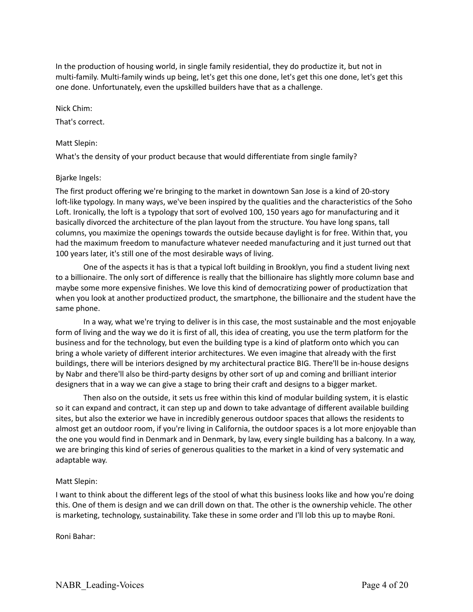In the production of housing world, in single family residential, they do productize it, but not in multi-family. Multi-family winds up being, let's get this one done, let's get this one done, let's get this one done. Unfortunately, even the upskilled builders have that as a challenge.

#### Nick Chim:

That's correct.

### Matt Slepin:

What's the density of your product because that would differentiate from single family?

# Bjarke Ingels:

The first product offering we're bringing to the market in downtown San Jose is a kind of 20-story loft-like typology. In many ways, we've been inspired by the qualities and the characteristics of the Soho Loft. Ironically, the loft is a typology that sort of evolved 100, 150 years ago for manufacturing and it basically divorced the architecture of the plan layout from the structure. You have long spans, tall columns, you maximize the openings towards the outside because daylight is for free. Within that, you had the maximum freedom to manufacture whatever needed manufacturing and it just turned out that 100 years later, it's still one of the most desirable ways of living.

One of the aspects it has is that a typical loft building in Brooklyn, you find a student living next to a billionaire. The only sort of difference is really that the billionaire has slightly more column base and maybe some more expensive finishes. We love this kind of democratizing power of productization that when you look at another productized product, the smartphone, the billionaire and the student have the same phone.

In a way, what we're trying to deliver is in this case, the most sustainable and the most enjoyable form of living and the way we do it is first of all, this idea of creating, you use the term platform for the business and for the technology, but even the building type is a kind of platform onto which you can bring a whole variety of different interior architectures. We even imagine that already with the first buildings, there will be interiors designed by my architectural practice BIG. There'll be in-house designs by Nabr and there'll also be third-party designs by other sort of up and coming and brilliant interior designers that in a way we can give a stage to bring their craft and designs to a bigger market.

Then also on the outside, it sets us free within this kind of modular building system, it is elastic so it can expand and contract, it can step up and down to take advantage of different available building sites, but also the exterior we have in incredibly generous outdoor spaces that allows the residents to almost get an outdoor room, if you're living in California, the outdoor spaces is a lot more enjoyable than the one you would find in Denmark and in Denmark, by law, every single building has a balcony. In a way, we are bringing this kind of series of generous qualities to the market in a kind of very systematic and adaptable way.

# Matt Slepin:

I want to think about the different legs of the stool of what this business looks like and how you're doing this. One of them is design and we can drill down on that. The other is the ownership vehicle. The other is marketing, technology, sustainability. Take these in some order and I'll lob this up to maybe Roni.

Roni Bahar: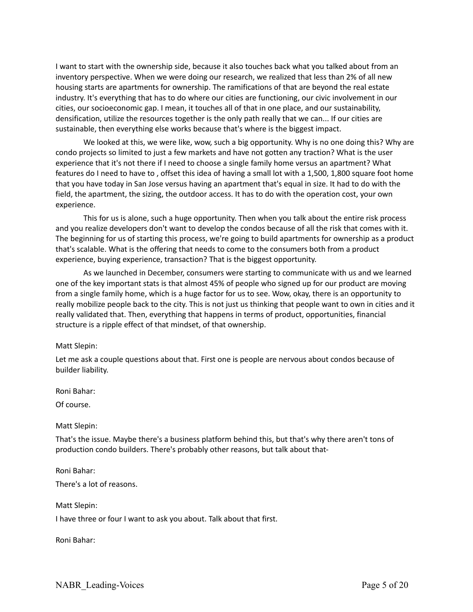I want to start with the ownership side, because it also touches back what you talked about from an inventory perspective. When we were doing our research, we realized that less than 2% of all new housing starts are apartments for ownership. The ramifications of that are beyond the real estate industry. It's everything that has to do where our cities are functioning, our civic involvement in our cities, our socioeconomic gap. I mean, it touches all of that in one place, and our sustainability, densification, utilize the resources together is the only path really that we can... If our cities are sustainable, then everything else works because that's where is the biggest impact.

We looked at this, we were like, wow, such a big opportunity. Why is no one doing this? Why are condo projects so limited to just a few markets and have not gotten any traction? What is the user experience that it's not there if I need to choose a single family home versus an apartment? What features do I need to have to , offset this idea of having a small lot with a 1,500, 1,800 square foot home that you have today in San Jose versus having an apartment that's equal in size. It had to do with the field, the apartment, the sizing, the outdoor access. It has to do with the operation cost, your own experience.

This for us is alone, such a huge opportunity. Then when you talk about the entire risk process and you realize developers don't want to develop the condos because of all the risk that comes with it. The beginning for us of starting this process, we're going to build apartments for ownership as a product that's scalable. What is the offering that needs to come to the consumers both from a product experience, buying experience, transaction? That is the biggest opportunity.

As we launched in December, consumers were starting to communicate with us and we learned one of the key important stats is that almost 45% of people who signed up for our product are moving from a single family home, which is a huge factor for us to see. Wow, okay, there is an opportunity to really mobilize people back to the city. This is not just us thinking that people want to own in cities and it really validated that. Then, everything that happens in terms of product, opportunities, financial structure is a ripple effect of that mindset, of that ownership.

#### Matt Slepin:

Let me ask a couple questions about that. First one is people are nervous about condos because of builder liability.

Roni Bahar:

Of course.

Matt Slepin:

That's the issue. Maybe there's a business platform behind this, but that's why there aren't tons of production condo builders. There's probably other reasons, but talk about that-

Roni Bahar: There's a lot of reasons.

Matt Slepin: I have three or four I want to ask you about. Talk about that first.

Roni Bahar: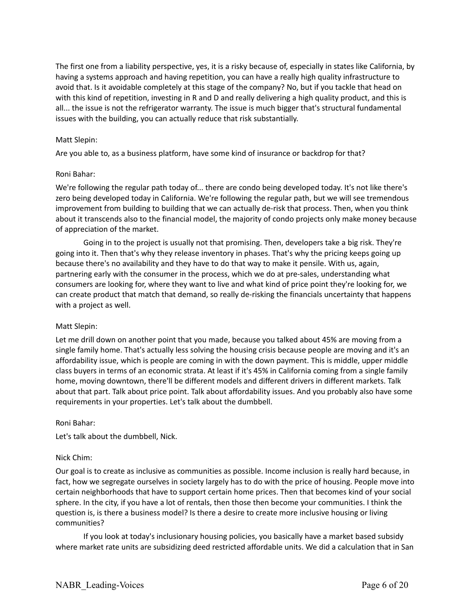The first one from a liability perspective, yes, it is a risky because of, especially in states like California, by having a systems approach and having repetition, you can have a really high quality infrastructure to avoid that. Is it avoidable completely at this stage of the company? No, but if you tackle that head on with this kind of repetition, investing in R and D and really delivering a high quality product, and this is all... the issue is not the refrigerator warranty. The issue is much bigger that's structural fundamental issues with the building, you can actually reduce that risk substantially.

### Matt Slepin:

Are you able to, as a business platform, have some kind of insurance or backdrop for that?

### Roni Bahar:

We're following the regular path today of... there are condo being developed today. It's not like there's zero being developed today in California. We're following the regular path, but we will see tremendous improvement from building to building that we can actually de-risk that process. Then, when you think about it transcends also to the financial model, the majority of condo projects only make money because of appreciation of the market.

Going in to the project is usually not that promising. Then, developers take a big risk. They're going into it. Then that's why they release inventory in phases. That's why the pricing keeps going up because there's no availability and they have to do that way to make it pensile. With us, again, partnering early with the consumer in the process, which we do at pre-sales, understanding what consumers are looking for, where they want to live and what kind of price point they're looking for, we can create product that match that demand, so really de-risking the financials uncertainty that happens with a project as well.

#### Matt Slepin:

Let me drill down on another point that you made, because you talked about 45% are moving from a single family home. That's actually less solving the housing crisis because people are moving and it's an affordability issue, which is people are coming in with the down payment. This is middle, upper middle class buyers in terms of an economic strata. At least if it's 45% in California coming from a single family home, moving downtown, there'll be different models and different drivers in different markets. Talk about that part. Talk about price point. Talk about affordability issues. And you probably also have some requirements in your properties. Let's talk about the dumbbell.

#### Roni Bahar:

Let's talk about the dumbbell, Nick.

#### Nick Chim:

Our goal is to create as inclusive as communities as possible. Income inclusion is really hard because, in fact, how we segregate ourselves in society largely has to do with the price of housing. People move into certain neighborhoods that have to support certain home prices. Then that becomes kind of your social sphere. In the city, if you have a lot of rentals, then those then become your communities. I think the question is, is there a business model? Is there a desire to create more inclusive housing or living communities?

If you look at today's inclusionary housing policies, you basically have a market based subsidy where market rate units are subsidizing deed restricted affordable units. We did a calculation that in San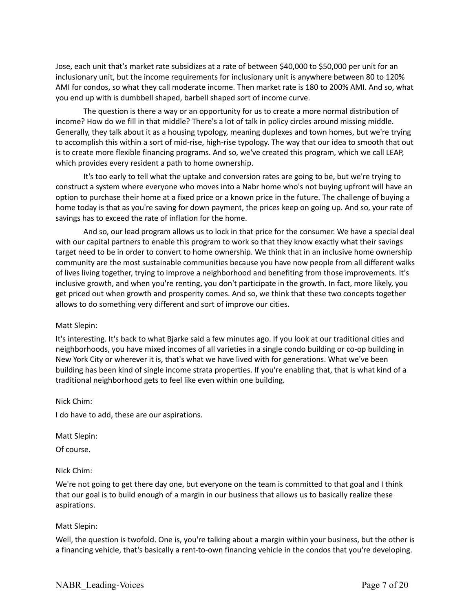Jose, each unit that's market rate subsidizes at a rate of between \$40,000 to \$50,000 per unit for an inclusionary unit, but the income requirements for inclusionary unit is anywhere between 80 to 120% AMI for condos, so what they call moderate income. Then market rate is 180 to 200% AMI. And so, what you end up with is dumbbell shaped, barbell shaped sort of income curve.

The question is there a way or an opportunity for us to create a more normal distribution of income? How do we fill in that middle? There's a lot of talk in policy circles around missing middle. Generally, they talk about it as a housing typology, meaning duplexes and town homes, but we're trying to accomplish this within a sort of mid-rise, high-rise typology. The way that our idea to smooth that out is to create more flexible financing programs. And so, we've created this program, which we call LEAP, which provides every resident a path to home ownership.

It's too early to tell what the uptake and conversion rates are going to be, but we're trying to construct a system where everyone who moves into a Nabr home who's not buying upfront will have an option to purchase their home at a fixed price or a known price in the future. The challenge of buying a home today is that as you're saving for down payment, the prices keep on going up. And so, your rate of savings has to exceed the rate of inflation for the home.

And so, our lead program allows us to lock in that price for the consumer. We have a special deal with our capital partners to enable this program to work so that they know exactly what their savings target need to be in order to convert to home ownership. We think that in an inclusive home ownership community are the most sustainable communities because you have now people from all different walks of lives living together, trying to improve a neighborhood and benefiting from those improvements. It's inclusive growth, and when you're renting, you don't participate in the growth. In fact, more likely, you get priced out when growth and prosperity comes. And so, we think that these two concepts together allows to do something very different and sort of improve our cities.

# Matt Slepin:

It's interesting. It's back to what Bjarke said a few minutes ago. If you look at our traditional cities and neighborhoods, you have mixed incomes of all varieties in a single condo building or co-op building in New York City or wherever it is, that's what we have lived with for generations. What we've been building has been kind of single income strata properties. If you're enabling that, that is what kind of a traditional neighborhood gets to feel like even within one building.

Nick Chim:

I do have to add, these are our aspirations.

Matt Slepin:

Of course.

# Nick Chim:

We're not going to get there day one, but everyone on the team is committed to that goal and I think that our goal is to build enough of a margin in our business that allows us to basically realize these aspirations.

# Matt Slepin:

Well, the question is twofold. One is, you're talking about a margin within your business, but the other is a financing vehicle, that's basically a rent-to-own financing vehicle in the condos that you're developing.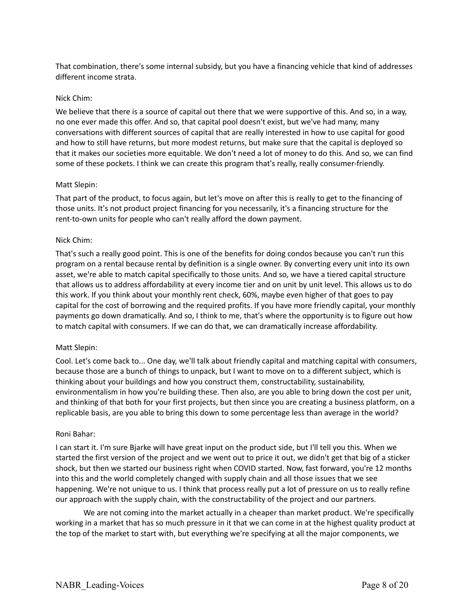That combination, there's some internal subsidy, but you have a financing vehicle that kind of addresses different income strata.

### Nick Chim:

We believe that there is a source of capital out there that we were supportive of this. And so, in a way, no one ever made this offer. And so, that capital pool doesn't exist, but we've had many, many conversations with different sources of capital that are really interested in how to use capital for good and how to still have returns, but more modest returns, but make sure that the capital is deployed so that it makes our societies more equitable. We don't need a lot of money to do this. And so, we can find some of these pockets. I think we can create this program that's really, really consumer-friendly.

### Matt Slepin:

That part of the product, to focus again, but let's move on after this is really to get to the financing of those units. It's not product project financing for you necessarily, it's a financing structure for the rent-to-own units for people who can't really afford the down payment.

### Nick Chim:

That's such a really good point. This is one of the benefits for doing condos because you can't run this program on a rental because rental by definition is a single owner. By converting every unit into its own asset, we're able to match capital specifically to those units. And so, we have a tiered capital structure that allows us to address affordability at every income tier and on unit by unit level. This allows us to do this work. If you think about your monthly rent check, 60%, maybe even higher of that goes to pay capital for the cost of borrowing and the required profits. If you have more friendly capital, your monthly payments go down dramatically. And so, I think to me, that's where the opportunity is to figure out how to match capital with consumers. If we can do that, we can dramatically increase affordability.

#### Matt Slepin:

Cool. Let's come back to... One day, we'll talk about friendly capital and matching capital with consumers, because those are a bunch of things to unpack, but I want to move on to a different subject, which is thinking about your buildings and how you construct them, constructability, sustainability, environmentalism in how you're building these. Then also, are you able to bring down the cost per unit, and thinking of that both for your first projects, but then since you are creating a business platform, on a replicable basis, are you able to bring this down to some percentage less than average in the world?

#### Roni Bahar:

I can start it. I'm sure Bjarke will have great input on the product side, but I'll tell you this. When we started the first version of the project and we went out to price it out, we didn't get that big of a sticker shock, but then we started our business right when COVID started. Now, fast forward, you're 12 months into this and the world completely changed with supply chain and all those issues that we see happening. We're not unique to us. I think that process really put a lot of pressure on us to really refine our approach with the supply chain, with the constructability of the project and our partners.

We are not coming into the market actually in a cheaper than market product. We're specifically working in a market that has so much pressure in it that we can come in at the highest quality product at the top of the market to start with, but everything we're specifying at all the major components, we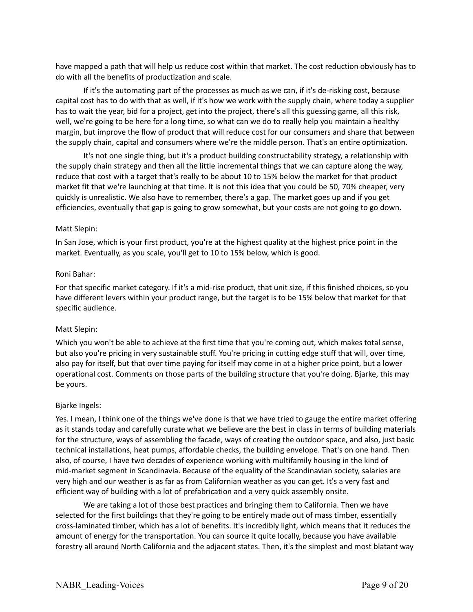have mapped a path that will help us reduce cost within that market. The cost reduction obviously has to do with all the benefits of productization and scale.

If it's the automating part of the processes as much as we can, if it's de-risking cost, because capital cost has to do with that as well, if it's how we work with the supply chain, where today a supplier has to wait the year, bid for a project, get into the project, there's all this guessing game, all this risk, well, we're going to be here for a long time, so what can we do to really help you maintain a healthy margin, but improve the flow of product that will reduce cost for our consumers and share that between the supply chain, capital and consumers where we're the middle person. That's an entire optimization.

It's not one single thing, but it's a product building constructability strategy, a relationship with the supply chain strategy and then all the little incremental things that we can capture along the way, reduce that cost with a target that's really to be about 10 to 15% below the market for that product market fit that we're launching at that time. It is not this idea that you could be 50, 70% cheaper, very quickly is unrealistic. We also have to remember, there's a gap. The market goes up and if you get efficiencies, eventually that gap is going to grow somewhat, but your costs are not going to go down.

#### Matt Slepin:

In San Jose, which is your first product, you're at the highest quality at the highest price point in the market. Eventually, as you scale, you'll get to 10 to 15% below, which is good.

#### Roni Bahar:

For that specific market category. If it's a mid-rise product, that unit size, if this finished choices, so you have different levers within your product range, but the target is to be 15% below that market for that specific audience.

#### Matt Slepin:

Which you won't be able to achieve at the first time that you're coming out, which makes total sense, but also you're pricing in very sustainable stuff. You're pricing in cutting edge stuff that will, over time, also pay for itself, but that over time paying for itself may come in at a higher price point, but a lower operational cost. Comments on those parts of the building structure that you're doing. Bjarke, this may be yours.

#### Bjarke Ingels:

Yes. I mean, I think one of the things we've done is that we have tried to gauge the entire market offering as it stands today and carefully curate what we believe are the best in class in terms of building materials for the structure, ways of assembling the facade, ways of creating the outdoor space, and also, just basic technical installations, heat pumps, affordable checks, the building envelope. That's on one hand. Then also, of course, I have two decades of experience working with multifamily housing in the kind of mid-market segment in Scandinavia. Because of the equality of the Scandinavian society, salaries are very high and our weather is as far as from Californian weather as you can get. It's a very fast and efficient way of building with a lot of prefabrication and a very quick assembly onsite.

We are taking a lot of those best practices and bringing them to California. Then we have selected for the first buildings that they're going to be entirely made out of mass timber, essentially cross-laminated timber, which has a lot of benefits. It's incredibly light, which means that it reduces the amount of energy for the transportation. You can source it quite locally, because you have available forestry all around North California and the adjacent states. Then, it's the simplest and most blatant way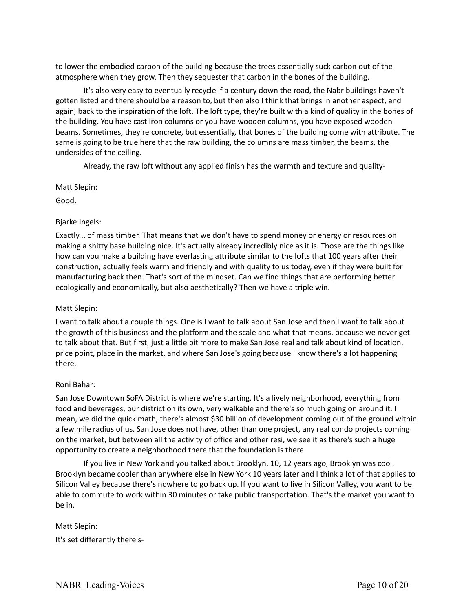to lower the embodied carbon of the building because the trees essentially suck carbon out of the atmosphere when they grow. Then they sequester that carbon in the bones of the building.

It's also very easy to eventually recycle if a century down the road, the Nabr buildings haven't gotten listed and there should be a reason to, but then also I think that brings in another aspect, and again, back to the inspiration of the loft. The loft type, they're built with a kind of quality in the bones of the building. You have cast iron columns or you have wooden columns, you have exposed wooden beams. Sometimes, they're concrete, but essentially, that bones of the building come with attribute. The same is going to be true here that the raw building, the columns are mass timber, the beams, the undersides of the ceiling.

Already, the raw loft without any applied finish has the warmth and texture and quality-

### Matt Slepin:

Good.

# Bjarke Ingels:

Exactly... of mass timber. That means that we don't have to spend money or energy or resources on making a shitty base building nice. It's actually already incredibly nice as it is. Those are the things like how can you make a building have everlasting attribute similar to the lofts that 100 years after their construction, actually feels warm and friendly and with quality to us today, even if they were built for manufacturing back then. That's sort of the mindset. Can we find things that are performing better ecologically and economically, but also aesthetically? Then we have a triple win.

# Matt Slepin:

I want to talk about a couple things. One is I want to talk about San Jose and then I want to talk about the growth of this business and the platform and the scale and what that means, because we never get to talk about that. But first, just a little bit more to make San Jose real and talk about kind of location, price point, place in the market, and where San Jose's going because I know there's a lot happening there.

# Roni Bahar:

San Jose Downtown SoFA District is where we're starting. It's a lively neighborhood, everything from food and beverages, our district on its own, very walkable and there's so much going on around it. I mean, we did the quick math, there's almost \$30 billion of development coming out of the ground within a few mile radius of us. San Jose does not have, other than one project, any real condo projects coming on the market, but between all the activity of office and other resi, we see it as there's such a huge opportunity to create a neighborhood there that the foundation is there.

If you live in New York and you talked about Brooklyn, 10, 12 years ago, Brooklyn was cool. Brooklyn became cooler than anywhere else in New York 10 years later and I think a lot of that applies to Silicon Valley because there's nowhere to go back up. If you want to live in Silicon Valley, you want to be able to commute to work within 30 minutes or take public transportation. That's the market you want to be in.

Matt Slepin: It's set differently there's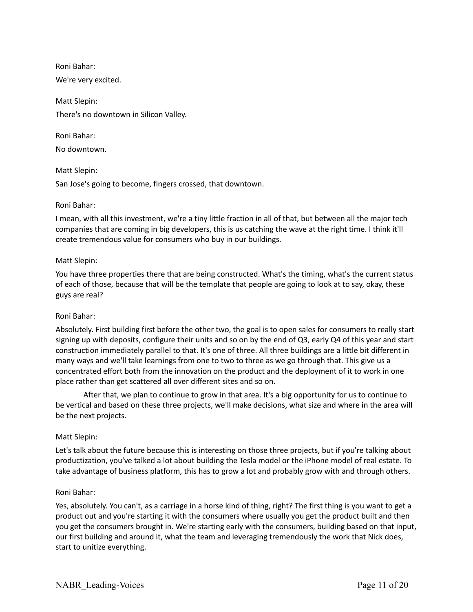Roni Bahar:

We're very excited.

Matt Slepin: There's no downtown in Silicon Valley.

Roni Bahar: No downtown.

Matt Slepin: San Jose's going to become, fingers crossed, that downtown.

### Roni Bahar:

I mean, with all this investment, we're a tiny little fraction in all of that, but between all the major tech companies that are coming in big developers, this is us catching the wave at the right time. I think it'll create tremendous value for consumers who buy in our buildings.

### Matt Slepin:

You have three properties there that are being constructed. What's the timing, what's the current status of each of those, because that will be the template that people are going to look at to say, okay, these guys are real?

# Roni Bahar:

Absolutely. First building first before the other two, the goal is to open sales for consumers to really start signing up with deposits, configure their units and so on by the end of Q3, early Q4 of this year and start construction immediately parallel to that. It's one of three. All three buildings are a little bit different in many ways and we'll take learnings from one to two to three as we go through that. This give us a concentrated effort both from the innovation on the product and the deployment of it to work in one place rather than get scattered all over different sites and so on.

After that, we plan to continue to grow in that area. It's a big opportunity for us to continue to be vertical and based on these three projects, we'll make decisions, what size and where in the area will be the next projects.

# Matt Slepin:

Let's talk about the future because this is interesting on those three projects, but if you're talking about productization, you've talked a lot about building the Tesla model or the iPhone model of real estate. To take advantage of business platform, this has to grow a lot and probably grow with and through others.

#### Roni Bahar:

Yes, absolutely. You can't, as a carriage in a horse kind of thing, right? The first thing is you want to get a product out and you're starting it with the consumers where usually you get the product built and then you get the consumers brought in. We're starting early with the consumers, building based on that input, our first building and around it, what the team and leveraging tremendously the work that Nick does, start to unitize everything.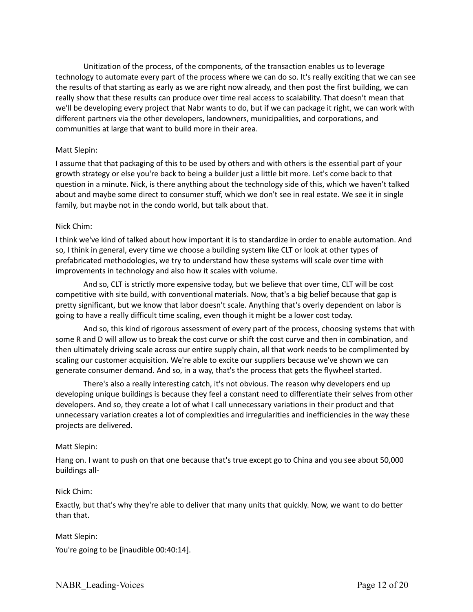Unitization of the process, of the components, of the transaction enables us to leverage technology to automate every part of the process where we can do so. It's really exciting that we can see the results of that starting as early as we are right now already, and then post the first building, we can really show that these results can produce over time real access to scalability. That doesn't mean that we'll be developing every project that Nabr wants to do, but if we can package it right, we can work with different partners via the other developers, landowners, municipalities, and corporations, and communities at large that want to build more in their area.

### Matt Slepin:

I assume that that packaging of this to be used by others and with others is the essential part of your growth strategy or else you're back to being a builder just a little bit more. Let's come back to that question in a minute. Nick, is there anything about the technology side of this, which we haven't talked about and maybe some direct to consumer stuff, which we don't see in real estate. We see it in single family, but maybe not in the condo world, but talk about that.

### Nick Chim:

I think we've kind of talked about how important it is to standardize in order to enable automation. And so, I think in general, every time we choose a building system like CLT or look at other types of prefabricated methodologies, we try to understand how these systems will scale over time with improvements in technology and also how it scales with volume.

And so, CLT is strictly more expensive today, but we believe that over time, CLT will be cost competitive with site build, with conventional materials. Now, that's a big belief because that gap is pretty significant, but we know that labor doesn't scale. Anything that's overly dependent on labor is going to have a really difficult time scaling, even though it might be a lower cost today.

And so, this kind of rigorous assessment of every part of the process, choosing systems that with some R and D will allow us to break the cost curve or shift the cost curve and then in combination, and then ultimately driving scale across our entire supply chain, all that work needs to be complimented by scaling our customer acquisition. We're able to excite our suppliers because we've shown we can generate consumer demand. And so, in a way, that's the process that gets the flywheel started.

There's also a really interesting catch, it's not obvious. The reason why developers end up developing unique buildings is because they feel a constant need to differentiate their selves from other developers. And so, they create a lot of what I call unnecessary variations in their product and that unnecessary variation creates a lot of complexities and irregularities and inefficiencies in the way these projects are delivered.

# Matt Slepin:

Hang on. I want to push on that one because that's true except go to China and you see about 50,000 buildings all-

#### Nick Chim:

Exactly, but that's why they're able to deliver that many units that quickly. Now, we want to do better than that.

# Matt Slepin:

You're going to be [inaudible 00:40:14].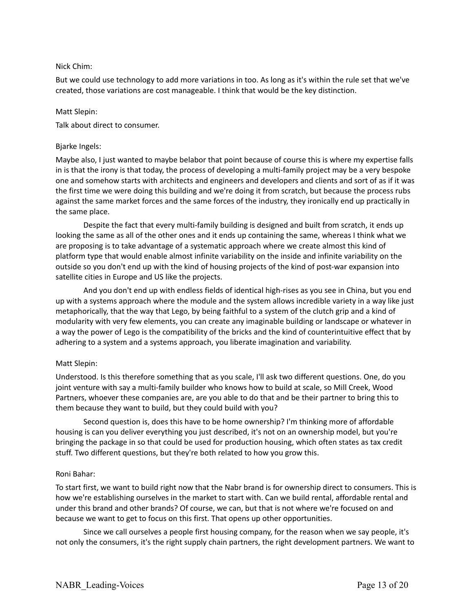### Nick Chim:

But we could use technology to add more variations in too. As long as it's within the rule set that we've created, those variations are cost manageable. I think that would be the key distinction.

#### Matt Slepin:

Talk about direct to consumer.

### Bjarke Ingels:

Maybe also, I just wanted to maybe belabor that point because of course this is where my expertise falls in is that the irony is that today, the process of developing a multi-family project may be a very bespoke one and somehow starts with architects and engineers and developers and clients and sort of as if it was the first time we were doing this building and we're doing it from scratch, but because the process rubs against the same market forces and the same forces of the industry, they ironically end up practically in the same place.

Despite the fact that every multi-family building is designed and built from scratch, it ends up looking the same as all of the other ones and it ends up containing the same, whereas I think what we are proposing is to take advantage of a systematic approach where we create almost this kind of platform type that would enable almost infinite variability on the inside and infinite variability on the outside so you don't end up with the kind of housing projects of the kind of post-war expansion into satellite cities in Europe and US like the projects.

And you don't end up with endless fields of identical high-rises as you see in China, but you end up with a systems approach where the module and the system allows incredible variety in a way like just metaphorically, that the way that Lego, by being faithful to a system of the clutch grip and a kind of modularity with very few elements, you can create any imaginable building or landscape or whatever in a way the power of Lego is the compatibility of the bricks and the kind of counterintuitive effect that by adhering to a system and a systems approach, you liberate imagination and variability.

# Matt Slepin:

Understood. Is this therefore something that as you scale, I'll ask two different questions. One, do you joint venture with say a multi-family builder who knows how to build at scale, so Mill Creek, Wood Partners, whoever these companies are, are you able to do that and be their partner to bring this to them because they want to build, but they could build with you?

Second question is, does this have to be home ownership? I'm thinking more of affordable housing is can you deliver everything you just described, it's not on an ownership model, but you're bringing the package in so that could be used for production housing, which often states as tax credit stuff. Two different questions, but they're both related to how you grow this.

# Roni Bahar:

To start first, we want to build right now that the Nabr brand is for ownership direct to consumers. This is how we're establishing ourselves in the market to start with. Can we build rental, affordable rental and under this brand and other brands? Of course, we can, but that is not where we're focused on and because we want to get to focus on this first. That opens up other opportunities.

Since we call ourselves a people first housing company, for the reason when we say people, it's not only the consumers, it's the right supply chain partners, the right development partners. We want to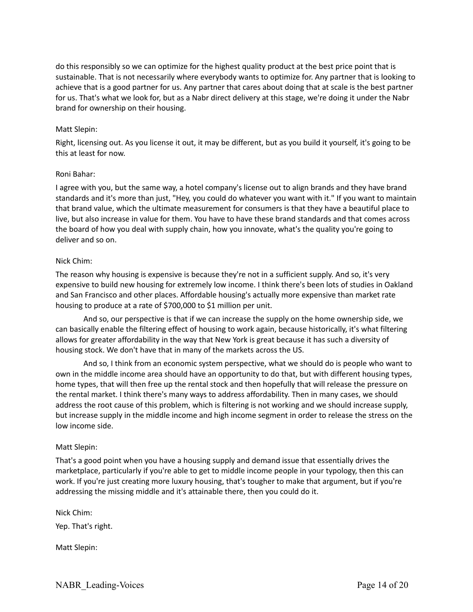do this responsibly so we can optimize for the highest quality product at the best price point that is sustainable. That is not necessarily where everybody wants to optimize for. Any partner that is looking to achieve that is a good partner for us. Any partner that cares about doing that at scale is the best partner for us. That's what we look for, but as a Nabr direct delivery at this stage, we're doing it under the Nabr brand for ownership on their housing.

### Matt Slepin:

Right, licensing out. As you license it out, it may be different, but as you build it yourself, it's going to be this at least for now.

#### Roni Bahar:

I agree with you, but the same way, a hotel company's license out to align brands and they have brand standards and it's more than just, "Hey, you could do whatever you want with it." If you want to maintain that brand value, which the ultimate measurement for consumers is that they have a beautiful place to live, but also increase in value for them. You have to have these brand standards and that comes across the board of how you deal with supply chain, how you innovate, what's the quality you're going to deliver and so on.

### Nick Chim:

The reason why housing is expensive is because they're not in a sufficient supply. And so, it's very expensive to build new housing for extremely low income. I think there's been lots of studies in Oakland and San Francisco and other places. Affordable housing's actually more expensive than market rate housing to produce at a rate of \$700,000 to \$1 million per unit.

And so, our perspective is that if we can increase the supply on the home ownership side, we can basically enable the filtering effect of housing to work again, because historically, it's what filtering allows for greater affordability in the way that New York is great because it has such a diversity of housing stock. We don't have that in many of the markets across the US.

And so, I think from an economic system perspective, what we should do is people who want to own in the middle income area should have an opportunity to do that, but with different housing types, home types, that will then free up the rental stock and then hopefully that will release the pressure on the rental market. I think there's many ways to address affordability. Then in many cases, we should address the root cause of this problem, which is filtering is not working and we should increase supply, but increase supply in the middle income and high income segment in order to release the stress on the low income side.

#### Matt Slepin:

That's a good point when you have a housing supply and demand issue that essentially drives the marketplace, particularly if you're able to get to middle income people in your typology, then this can work. If you're just creating more luxury housing, that's tougher to make that argument, but if you're addressing the missing middle and it's attainable there, then you could do it.

Nick Chim:

Yep. That's right.

Matt Slepin: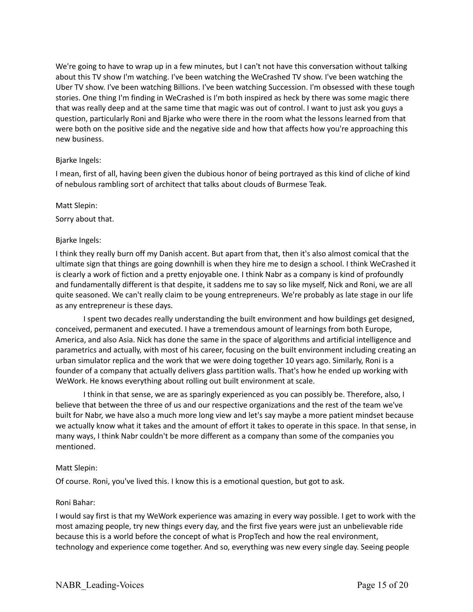We're going to have to wrap up in a few minutes, but I can't not have this conversation without talking about this TV show I'm watching. I've been watching the WeCrashed TV show. I've been watching the Uber TV show. I've been watching Billions. I've been watching Succession. I'm obsessed with these tough stories. One thing I'm finding in WeCrashed is I'm both inspired as heck by there was some magic there that was really deep and at the same time that magic was out of control. I want to just ask you guys a question, particularly Roni and Bjarke who were there in the room what the lessons learned from that were both on the positive side and the negative side and how that affects how you're approaching this new business.

### Bjarke Ingels:

I mean, first of all, having been given the dubious honor of being portrayed as this kind of cliche of kind of nebulous rambling sort of architect that talks about clouds of Burmese Teak.

#### Matt Slepin:

Sorry about that.

# Bjarke Ingels:

I think they really burn off my Danish accent. But apart from that, then it's also almost comical that the ultimate sign that things are going downhill is when they hire me to design a school. I think WeCrashed it is clearly a work of fiction and a pretty enjoyable one. I think Nabr as a company is kind of profoundly and fundamentally different is that despite, it saddens me to say so like myself, Nick and Roni, we are all quite seasoned. We can't really claim to be young entrepreneurs. We're probably as late stage in our life as any entrepreneur is these days.

I spent two decades really understanding the built environment and how buildings get designed, conceived, permanent and executed. I have a tremendous amount of learnings from both Europe, America, and also Asia. Nick has done the same in the space of algorithms and artificial intelligence and parametrics and actually, with most of his career, focusing on the built environment including creating an urban simulator replica and the work that we were doing together 10 years ago. Similarly, Roni is a founder of a company that actually delivers glass partition walls. That's how he ended up working with WeWork. He knows everything about rolling out built environment at scale.

I think in that sense, we are as sparingly experienced as you can possibly be. Therefore, also, I believe that between the three of us and our respective organizations and the rest of the team we've built for Nabr, we have also a much more long view and let's say maybe a more patient mindset because we actually know what it takes and the amount of effort it takes to operate in this space. In that sense, in many ways, I think Nabr couldn't be more different as a company than some of the companies you mentioned.

# Matt Slepin:

Of course. Roni, you've lived this. I know this is a emotional question, but got to ask.

#### Roni Bahar:

I would say first is that my WeWork experience was amazing in every way possible. I get to work with the most amazing people, try new things every day, and the first five years were just an unbelievable ride because this is a world before the concept of what is PropTech and how the real environment, technology and experience come together. And so, everything was new every single day. Seeing people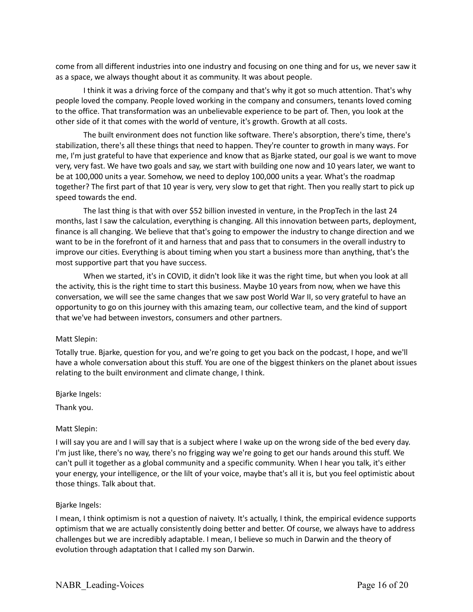come from all different industries into one industry and focusing on one thing and for us, we never saw it as a space, we always thought about it as community. It was about people.

I think it was a driving force of the company and that's why it got so much attention. That's why people loved the company. People loved working in the company and consumers, tenants loved coming to the office. That transformation was an unbelievable experience to be part of. Then, you look at the other side of it that comes with the world of venture, it's growth. Growth at all costs.

The built environment does not function like software. There's absorption, there's time, there's stabilization, there's all these things that need to happen. They're counter to growth in many ways. For me, I'm just grateful to have that experience and know that as Bjarke stated, our goal is we want to move very, very fast. We have two goals and say, we start with building one now and 10 years later, we want to be at 100,000 units a year. Somehow, we need to deploy 100,000 units a year. What's the roadmap together? The first part of that 10 year is very, very slow to get that right. Then you really start to pick up speed towards the end.

The last thing is that with over \$52 billion invested in venture, in the PropTech in the last 24 months, last I saw the calculation, everything is changing. All this innovation between parts, deployment, finance is all changing. We believe that that's going to empower the industry to change direction and we want to be in the forefront of it and harness that and pass that to consumers in the overall industry to improve our cities. Everything is about timing when you start a business more than anything, that's the most supportive part that you have success.

When we started, it's in COVID, it didn't look like it was the right time, but when you look at all the activity, this is the right time to start this business. Maybe 10 years from now, when we have this conversation, we will see the same changes that we saw post World War II, so very grateful to have an opportunity to go on this journey with this amazing team, our collective team, and the kind of support that we've had between investors, consumers and other partners.

#### Matt Slepin:

Totally true. Bjarke, question for you, and we're going to get you back on the podcast, I hope, and we'll have a whole conversation about this stuff. You are one of the biggest thinkers on the planet about issues relating to the built environment and climate change, I think.

Bjarke Ingels:

Thank you.

#### Matt Slepin:

I will say you are and I will say that is a subject where I wake up on the wrong side of the bed every day. I'm just like, there's no way, there's no frigging way we're going to get our hands around this stuff. We can't pull it together as a global community and a specific community. When I hear you talk, it's either your energy, your intelligence, or the lilt of your voice, maybe that's all it is, but you feel optimistic about those things. Talk about that.

#### Bjarke Ingels:

I mean, I think optimism is not a question of naivety. It's actually, I think, the empirical evidence supports optimism that we are actually consistently doing better and better. Of course, we always have to address challenges but we are incredibly adaptable. I mean, I believe so much in Darwin and the theory of evolution through adaptation that I called my son Darwin.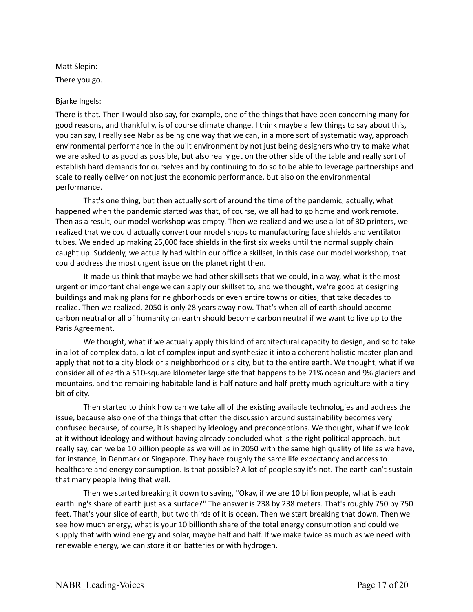Matt Slepin: There you go.

# Bjarke Ingels:

There is that. Then I would also say, for example, one of the things that have been concerning many for good reasons, and thankfully, is of course climate change. I think maybe a few things to say about this, you can say, I really see Nabr as being one way that we can, in a more sort of systematic way, approach environmental performance in the built environment by not just being designers who try to make what we are asked to as good as possible, but also really get on the other side of the table and really sort of establish hard demands for ourselves and by continuing to do so to be able to leverage partnerships and scale to really deliver on not just the economic performance, but also on the environmental performance.

That's one thing, but then actually sort of around the time of the pandemic, actually, what happened when the pandemic started was that, of course, we all had to go home and work remote. Then as a result, our model workshop was empty. Then we realized and we use a lot of 3D printers, we realized that we could actually convert our model shops to manufacturing face shields and ventilator tubes. We ended up making 25,000 face shields in the first six weeks until the normal supply chain caught up. Suddenly, we actually had within our office a skillset, in this case our model workshop, that could address the most urgent issue on the planet right then.

It made us think that maybe we had other skill sets that we could, in a way, what is the most urgent or important challenge we can apply our skillset to, and we thought, we're good at designing buildings and making plans for neighborhoods or even entire towns or cities, that take decades to realize. Then we realized, 2050 is only 28 years away now. That's when all of earth should become carbon neutral or all of humanity on earth should become carbon neutral if we want to live up to the Paris Agreement.

We thought, what if we actually apply this kind of architectural capacity to design, and so to take in a lot of complex data, a lot of complex input and synthesize it into a coherent holistic master plan and apply that not to a city block or a neighborhood or a city, but to the entire earth. We thought, what if we consider all of earth a 510-square kilometer large site that happens to be 71% ocean and 9% glaciers and mountains, and the remaining habitable land is half nature and half pretty much agriculture with a tiny bit of city.

Then started to think how can we take all of the existing available technologies and address the issue, because also one of the things that often the discussion around sustainability becomes very confused because, of course, it is shaped by ideology and preconceptions. We thought, what if we look at it without ideology and without having already concluded what is the right political approach, but really say, can we be 10 billion people as we will be in 2050 with the same high quality of life as we have, for instance, in Denmark or Singapore. They have roughly the same life expectancy and access to healthcare and energy consumption. Is that possible? A lot of people say it's not. The earth can't sustain that many people living that well.

Then we started breaking it down to saying, "Okay, if we are 10 billion people, what is each earthling's share of earth just as a surface?" The answer is 238 by 238 meters. That's roughly 750 by 750 feet. That's your slice of earth, but two thirds of it is ocean. Then we start breaking that down. Then we see how much energy, what is your 10 billionth share of the total energy consumption and could we supply that with wind energy and solar, maybe half and half. If we make twice as much as we need with renewable energy, we can store it on batteries or with hydrogen.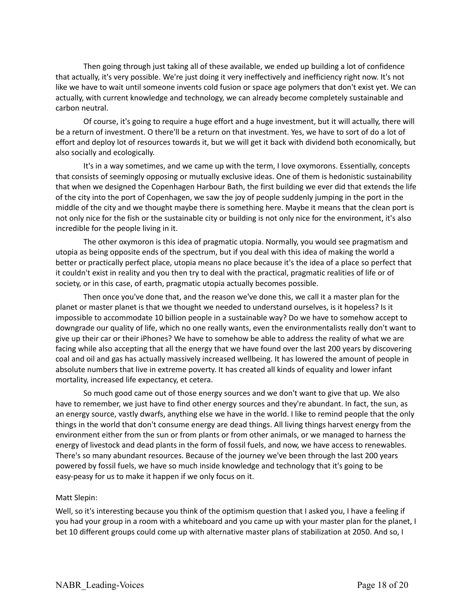Then going through just taking all of these available, we ended up building a lot of confidence that actually, it's very possible. We're just doing it very ineffectively and inefficiency right now. It's not like we have to wait until someone invents cold fusion or space age polymers that don't exist yet. We can actually, with current knowledge and technology, we can already become completely sustainable and carbon neutral.

Of course, it's going to require a huge effort and a huge investment, but it will actually, there will be a return of investment. O there'll be a return on that investment. Yes, we have to sort of do a lot of effort and deploy lot of resources towards it, but we will get it back with dividend both economically, but also socially and ecologically.

It's in a way sometimes, and we came up with the term, I love oxymorons. Essentially, concepts that consists of seemingly opposing or mutually exclusive ideas. One of them is hedonistic sustainability that when we designed the Copenhagen Harbour Bath, the first building we ever did that extends the life of the city into the port of Copenhagen, we saw the joy of people suddenly jumping in the port in the middle of the city and we thought maybe there is something here. Maybe it means that the clean port is not only nice for the fish or the sustainable city or building is not only nice for the environment, it's also incredible for the people living in it.

The other oxymoron is this idea of pragmatic utopia. Normally, you would see pragmatism and utopia as being opposite ends of the spectrum, but if you deal with this idea of making the world a better or practically perfect place, utopia means no place because it's the idea of a place so perfect that it couldn't exist in reality and you then try to deal with the practical, pragmatic realities of life or of society, or in this case, of earth, pragmatic utopia actually becomes possible.

Then once you've done that, and the reason we've done this, we call it a master plan for the planet or master planet is that we thought we needed to understand ourselves, is it hopeless? Is it impossible to accommodate 10 billion people in a sustainable way? Do we have to somehow accept to downgrade our quality of life, which no one really wants, even the environmentalists really don't want to give up their car or their iPhones? We have to somehow be able to address the reality of what we are facing while also accepting that all the energy that we have found over the last 200 years by discovering coal and oil and gas has actually massively increased wellbeing. It has lowered the amount of people in absolute numbers that live in extreme poverty. It has created all kinds of equality and lower infant mortality, increased life expectancy, et cetera.

So much good came out of those energy sources and we don't want to give that up. We also have to remember, we just have to find other energy sources and they're abundant. In fact, the sun, as an energy source, vastly dwarfs, anything else we have in the world. I like to remind people that the only things in the world that don't consume energy are dead things. All living things harvest energy from the environment either from the sun or from plants or from other animals, or we managed to harness the energy of livestock and dead plants in the form of fossil fuels, and now, we have access to renewables. There's so many abundant resources. Because of the journey we've been through the last 200 years powered by fossil fuels, we have so much inside knowledge and technology that it's going to be easy-peasy for us to make it happen if we only focus on it.

#### Matt Slepin:

Well, so it's interesting because you think of the optimism question that I asked you, I have a feeling if you had your group in a room with a whiteboard and you came up with your master plan for the planet, I bet 10 different groups could come up with alternative master plans of stabilization at 2050. And so, I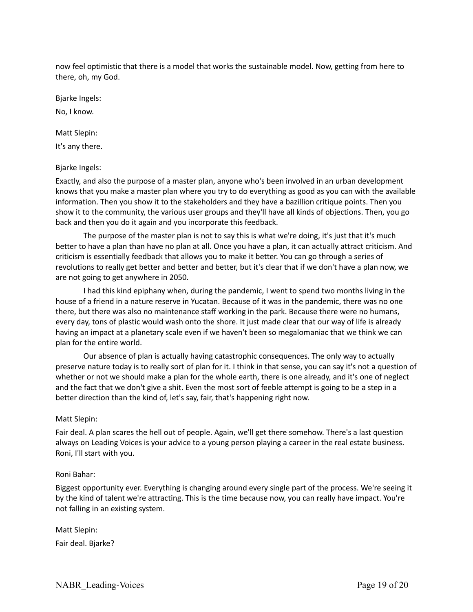now feel optimistic that there is a model that works the sustainable model. Now, getting from here to there, oh, my God.

Bjarke Ingels:

No, I know.

Matt Slepin:

It's any there.

# Bjarke Ingels:

Exactly, and also the purpose of a master plan, anyone who's been involved in an urban development knows that you make a master plan where you try to do everything as good as you can with the available information. Then you show it to the stakeholders and they have a bazillion critique points. Then you show it to the community, the various user groups and they'll have all kinds of objections. Then, you go back and then you do it again and you incorporate this feedback.

The purpose of the master plan is not to say this is what we're doing, it's just that it's much better to have a plan than have no plan at all. Once you have a plan, it can actually attract criticism. And criticism is essentially feedback that allows you to make it better. You can go through a series of revolutions to really get better and better and better, but it's clear that if we don't have a plan now, we are not going to get anywhere in 2050.

I had this kind epiphany when, during the pandemic, I went to spend two months living in the house of a friend in a nature reserve in Yucatan. Because of it was in the pandemic, there was no one there, but there was also no maintenance staff working in the park. Because there were no humans, every day, tons of plastic would wash onto the shore. It just made clear that our way of life is already having an impact at a planetary scale even if we haven't been so megalomaniac that we think we can plan for the entire world.

Our absence of plan is actually having catastrophic consequences. The only way to actually preserve nature today is to really sort of plan for it. I think in that sense, you can say it's not a question of whether or not we should make a plan for the whole earth, there is one already, and it's one of neglect and the fact that we don't give a shit. Even the most sort of feeble attempt is going to be a step in a better direction than the kind of, let's say, fair, that's happening right now.

# Matt Slepin:

Fair deal. A plan scares the hell out of people. Again, we'll get there somehow. There's a last question always on Leading Voices is your advice to a young person playing a career in the real estate business. Roni, I'll start with you.

# Roni Bahar:

Biggest opportunity ever. Everything is changing around every single part of the process. We're seeing it by the kind of talent we're attracting. This is the time because now, you can really have impact. You're not falling in an existing system.

Matt Slepin: Fair deal. Bjarke?